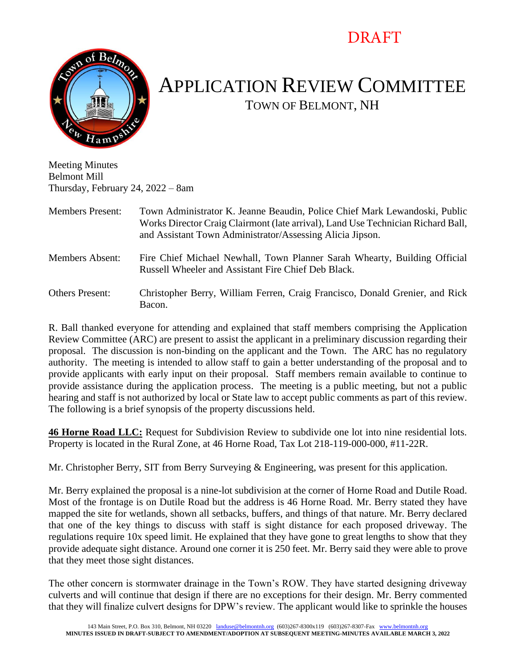## DRAFT



## APPLICATION REVIEW COMMITTEE TOWN OF BELMONT, NH

Meeting Minutes Belmont Mill Thursday, February 24, 2022 – 8am

Members Present: Town Administrator K. Jeanne Beaudin, Police Chief Mark Lewandoski, Public Works Director Craig Clairmont (late arrival), Land Use Technician Richard Ball, and Assistant Town Administrator/Assessing Alicia Jipson.

Members Absent: Fire Chief Michael Newhall, Town Planner Sarah Whearty, Building Official Russell Wheeler and Assistant Fire Chief Deb Black.

Others Present: Christopher Berry, William Ferren, Craig Francisco, Donald Grenier, and Rick Bacon.

R. Ball thanked everyone for attending and explained that staff members comprising the Application Review Committee (ARC) are present to assist the applicant in a preliminary discussion regarding their proposal. The discussion is non-binding on the applicant and the Town. The ARC has no regulatory authority. The meeting is intended to allow staff to gain a better understanding of the proposal and to provide applicants with early input on their proposal. Staff members remain available to continue to provide assistance during the application process. The meeting is a public meeting, but not a public hearing and staff is not authorized by local or State law to accept public comments as part of this review. The following is a brief synopsis of the property discussions held.

**46 Horne Road LLC:** Request for Subdivision Review to subdivide one lot into nine residential lots. Property is located in the Rural Zone, at 46 Horne Road, Tax Lot 218-119-000-000, #11-22R.

Mr. Christopher Berry, SIT from Berry Surveying & Engineering, was present for this application.

Mr. Berry explained the proposal is a nine-lot subdivision at the corner of Horne Road and Dutile Road. Most of the frontage is on Dutile Road but the address is 46 Horne Road. Mr. Berry stated they have mapped the site for wetlands, shown all setbacks, buffers, and things of that nature. Mr. Berry declared that one of the key things to discuss with staff is sight distance for each proposed driveway. The regulations require 10x speed limit. He explained that they have gone to great lengths to show that they provide adequate sight distance. Around one corner it is 250 feet. Mr. Berry said they were able to prove that they meet those sight distances.

The other concern is stormwater drainage in the Town's ROW. They have started designing driveway culverts and will continue that design if there are no exceptions for their design. Mr. Berry commented that they will finalize culvert designs for DPW's review. The applicant would like to sprinkle the houses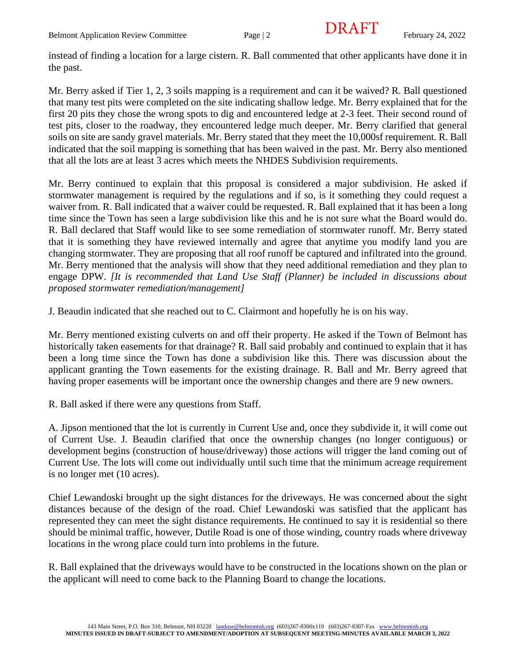instead of finding a location for a large cistern. R. Ball commented that other applicants have done it in the past.

Mr. Berry asked if Tier 1, 2, 3 soils mapping is a requirement and can it be waived? R. Ball questioned that many test pits were completed on the site indicating shallow ledge. Mr. Berry explained that for the first 20 pits they chose the wrong spots to dig and encountered ledge at 2-3 feet. Their second round of test pits, closer to the roadway, they encountered ledge much deeper. Mr. Berry clarified that general soils on site are sandy gravel materials. Mr. Berry stated that they meet the 10,000sf requirement. R. Ball indicated that the soil mapping is something that has been waived in the past. Mr. Berry also mentioned that all the lots are at least 3 acres which meets the NHDES Subdivision requirements.

Mr. Berry continued to explain that this proposal is considered a major subdivision. He asked if stormwater management is required by the regulations and if so, is it something they could request a waiver from. R. Ball indicated that a waiver could be requested. R. Ball explained that it has been a long time since the Town has seen a large subdivision like this and he is not sure what the Board would do. R. Ball declared that Staff would like to see some remediation of stormwater runoff. Mr. Berry stated that it is something they have reviewed internally and agree that anytime you modify land you are changing stormwater. They are proposing that all roof runoff be captured and infiltrated into the ground. Mr. Berry mentioned that the analysis will show that they need additional remediation and they plan to engage DPW. *[It is recommended that Land Use Staff (Planner) be included in discussions about proposed stormwater remediation/management]*

J. Beaudin indicated that she reached out to C. Clairmont and hopefully he is on his way.

Mr. Berry mentioned existing culverts on and off their property. He asked if the Town of Belmont has historically taken easements for that drainage? R. Ball said probably and continued to explain that it has been a long time since the Town has done a subdivision like this. There was discussion about the applicant granting the Town easements for the existing drainage. R. Ball and Mr. Berry agreed that having proper easements will be important once the ownership changes and there are 9 new owners.

R. Ball asked if there were any questions from Staff.

A. Jipson mentioned that the lot is currently in Current Use and, once they subdivide it, it will come out of Current Use. J. Beaudin clarified that once the ownership changes (no longer contiguous) or development begins (construction of house/driveway) those actions will trigger the land coming out of Current Use. The lots will come out individually until such time that the minimum acreage requirement is no longer met (10 acres).

Chief Lewandoski brought up the sight distances for the driveways. He was concerned about the sight distances because of the design of the road. Chief Lewandoski was satisfied that the applicant has represented they can meet the sight distance requirements. He continued to say it is residential so there should be minimal traffic, however, Dutile Road is one of those winding, country roads where driveway locations in the wrong place could turn into problems in the future.

R. Ball explained that the driveways would have to be constructed in the locations shown on the plan or the applicant will need to come back to the Planning Board to change the locations.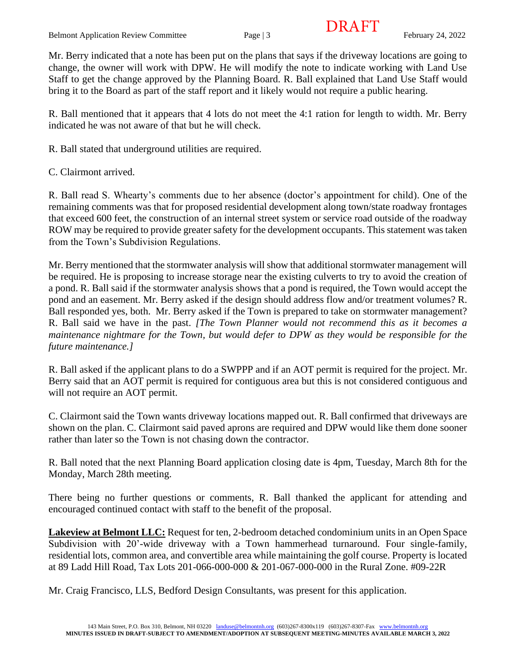Mr. Berry indicated that a note has been put on the plans that says if the driveway locations are going to change, the owner will work with DPW. He will modify the note to indicate working with Land Use Staff to get the change approved by the Planning Board. R. Ball explained that Land Use Staff would bring it to the Board as part of the staff report and it likely would not require a public hearing.

R. Ball mentioned that it appears that 4 lots do not meet the 4:1 ration for length to width. Mr. Berry indicated he was not aware of that but he will check.

R. Ball stated that underground utilities are required.

C. Clairmont arrived.

R. Ball read S. Whearty's comments due to her absence (doctor's appointment for child). One of the remaining comments was that for proposed residential development along town/state roadway frontages that exceed 600 feet, the construction of an internal street system or service road outside of the roadway ROW may be required to provide greater safety for the development occupants. This statement was taken from the Town's Subdivision Regulations.

Mr. Berry mentioned that the stormwater analysis will show that additional stormwater management will be required. He is proposing to increase storage near the existing culverts to try to avoid the creation of a pond. R. Ball said if the stormwater analysis shows that a pond is required, the Town would accept the pond and an easement. Mr. Berry asked if the design should address flow and/or treatment volumes? R. Ball responded yes, both. Mr. Berry asked if the Town is prepared to take on stormwater management? R. Ball said we have in the past. *[The Town Planner would not recommend this as it becomes a maintenance nightmare for the Town, but would defer to DPW as they would be responsible for the future maintenance.]*

R. Ball asked if the applicant plans to do a SWPPP and if an AOT permit is required for the project. Mr. Berry said that an AOT permit is required for contiguous area but this is not considered contiguous and will not require an AOT permit.

C. Clairmont said the Town wants driveway locations mapped out. R. Ball confirmed that driveways are shown on the plan. C. Clairmont said paved aprons are required and DPW would like them done sooner rather than later so the Town is not chasing down the contractor.

R. Ball noted that the next Planning Board application closing date is 4pm, Tuesday, March 8th for the Monday, March 28th meeting.

There being no further questions or comments, R. Ball thanked the applicant for attending and encouraged continued contact with staff to the benefit of the proposal.

**Lakeview at Belmont LLC:** Request for ten, 2-bedroom detached condominium units in an Open Space Subdivision with 20'-wide driveway with a Town hammerhead turnaround. Four single-family, residential lots, common area, and convertible area while maintaining the golf course. Property is located at 89 Ladd Hill Road, Tax Lots 201-066-000-000 & 201-067-000-000 in the Rural Zone. #09-22R

Mr. Craig Francisco, LLS, Bedford Design Consultants, was present for this application.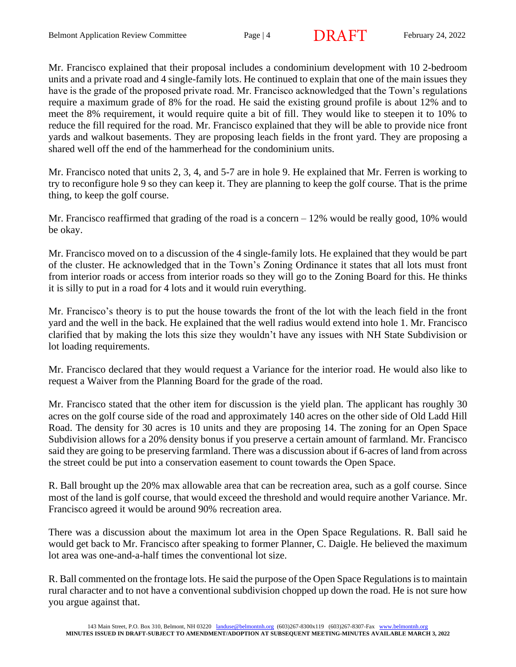Mr. Francisco explained that their proposal includes a condominium development with 10 2-bedroom units and a private road and 4 single-family lots. He continued to explain that one of the main issues they have is the grade of the proposed private road. Mr. Francisco acknowledged that the Town's regulations require a maximum grade of 8% for the road. He said the existing ground profile is about 12% and to meet the 8% requirement, it would require quite a bit of fill. They would like to steepen it to 10% to reduce the fill required for the road. Mr. Francisco explained that they will be able to provide nice front yards and walkout basements. They are proposing leach fields in the front yard. They are proposing a shared well off the end of the hammerhead for the condominium units.

Mr. Francisco noted that units 2, 3, 4, and 5-7 are in hole 9. He explained that Mr. Ferren is working to try to reconfigure hole 9 so they can keep it. They are planning to keep the golf course. That is the prime thing, to keep the golf course.

Mr. Francisco reaffirmed that grading of the road is a concern  $-12\%$  would be really good, 10% would be okay.

Mr. Francisco moved on to a discussion of the 4 single-family lots. He explained that they would be part of the cluster. He acknowledged that in the Town's Zoning Ordinance it states that all lots must front from interior roads or access from interior roads so they will go to the Zoning Board for this. He thinks it is silly to put in a road for 4 lots and it would ruin everything.

Mr. Francisco's theory is to put the house towards the front of the lot with the leach field in the front yard and the well in the back. He explained that the well radius would extend into hole 1. Mr. Francisco clarified that by making the lots this size they wouldn't have any issues with NH State Subdivision or lot loading requirements.

Mr. Francisco declared that they would request a Variance for the interior road. He would also like to request a Waiver from the Planning Board for the grade of the road.

Mr. Francisco stated that the other item for discussion is the yield plan. The applicant has roughly 30 acres on the golf course side of the road and approximately 140 acres on the other side of Old Ladd Hill Road. The density for 30 acres is 10 units and they are proposing 14. The zoning for an Open Space Subdivision allows for a 20% density bonus if you preserve a certain amount of farmland. Mr. Francisco said they are going to be preserving farmland. There was a discussion about if 6-acres of land from across the street could be put into a conservation easement to count towards the Open Space.

R. Ball brought up the 20% max allowable area that can be recreation area, such as a golf course. Since most of the land is golf course, that would exceed the threshold and would require another Variance. Mr. Francisco agreed it would be around 90% recreation area.

There was a discussion about the maximum lot area in the Open Space Regulations. R. Ball said he would get back to Mr. Francisco after speaking to former Planner, C. Daigle. He believed the maximum lot area was one-and-a-half times the conventional lot size.

R. Ball commented on the frontage lots. He said the purpose of the Open Space Regulations is to maintain rural character and to not have a conventional subdivision chopped up down the road. He is not sure how you argue against that.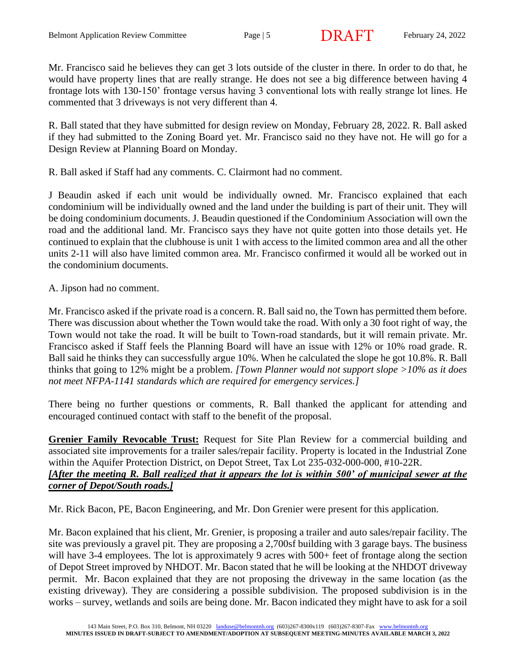Mr. Francisco said he believes they can get 3 lots outside of the cluster in there. In order to do that, he would have property lines that are really strange. He does not see a big difference between having 4 frontage lots with 130-150' frontage versus having 3 conventional lots with really strange lot lines. He commented that 3 driveways is not very different than 4.

R. Ball stated that they have submitted for design review on Monday, February 28, 2022. R. Ball asked if they had submitted to the Zoning Board yet. Mr. Francisco said no they have not. He will go for a Design Review at Planning Board on Monday.

R. Ball asked if Staff had any comments. C. Clairmont had no comment.

J Beaudin asked if each unit would be individually owned. Mr. Francisco explained that each condominium will be individually owned and the land under the building is part of their unit. They will be doing condominium documents. J. Beaudin questioned if the Condominium Association will own the road and the additional land. Mr. Francisco says they have not quite gotten into those details yet. He continued to explain that the clubhouse is unit 1 with access to the limited common area and all the other units 2-11 will also have limited common area. Mr. Francisco confirmed it would all be worked out in the condominium documents.

A. Jipson had no comment.

Mr. Francisco asked if the private road is a concern. R. Ball said no, the Town has permitted them before. There was discussion about whether the Town would take the road. With only a 30 foot right of way, the Town would not take the road. It will be built to Town-road standards, but it will remain private. Mr. Francisco asked if Staff feels the Planning Board will have an issue with 12% or 10% road grade. R. Ball said he thinks they can successfully argue 10%. When he calculated the slope he got 10.8%. R. Ball thinks that going to 12% might be a problem. *[Town Planner would not support slope >10% as it does not meet NFPA-1141 standards which are required for emergency services.]*

There being no further questions or comments, R. Ball thanked the applicant for attending and encouraged continued contact with staff to the benefit of the proposal.

**Grenier Family Revocable Trust:** Request for Site Plan Review for a commercial building and associated site improvements for a trailer sales/repair facility. Property is located in the Industrial Zone within the Aquifer Protection District, on Depot Street, Tax Lot 235-032-000-000, #10-22R. *[After the meeting R. Ball realized that it appears the lot is within 500' of municipal sewer at the corner of Depot/South roads.]*

Mr. Rick Bacon, PE, Bacon Engineering, and Mr. Don Grenier were present for this application.

Mr. Bacon explained that his client, Mr. Grenier, is proposing a trailer and auto sales/repair facility. The site was previously a gravel pit. They are proposing a 2,700sf building with 3 garage bays. The business will have 3-4 employees. The lot is approximately 9 acres with 500+ feet of frontage along the section of Depot Street improved by NHDOT. Mr. Bacon stated that he will be looking at the NHDOT driveway permit. Mr. Bacon explained that they are not proposing the driveway in the same location (as the existing driveway). They are considering a possible subdivision. The proposed subdivision is in the works – survey, wetlands and soils are being done. Mr. Bacon indicated they might have to ask for a soil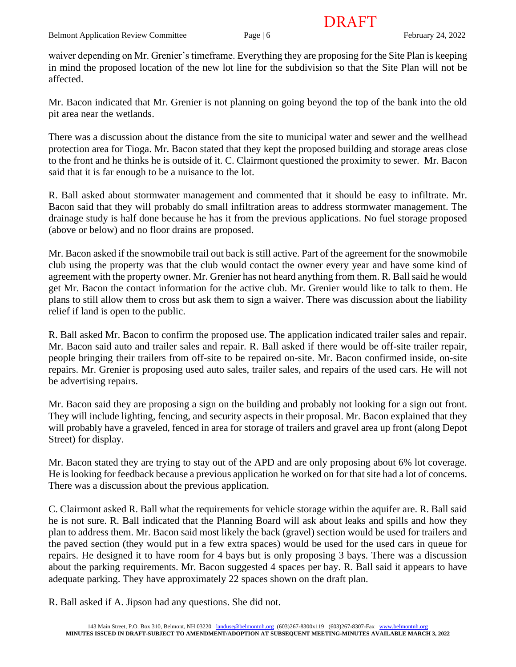DRAFT

waiver depending on Mr. Grenier's timeframe. Everything they are proposing for the Site Plan is keeping in mind the proposed location of the new lot line for the subdivision so that the Site Plan will not be affected.

Mr. Bacon indicated that Mr. Grenier is not planning on going beyond the top of the bank into the old pit area near the wetlands.

There was a discussion about the distance from the site to municipal water and sewer and the wellhead protection area for Tioga. Mr. Bacon stated that they kept the proposed building and storage areas close to the front and he thinks he is outside of it. C. Clairmont questioned the proximity to sewer. Mr. Bacon said that it is far enough to be a nuisance to the lot.

R. Ball asked about stormwater management and commented that it should be easy to infiltrate. Mr. Bacon said that they will probably do small infiltration areas to address stormwater management. The drainage study is half done because he has it from the previous applications. No fuel storage proposed (above or below) and no floor drains are proposed.

Mr. Bacon asked if the snowmobile trail out back is still active. Part of the agreement for the snowmobile club using the property was that the club would contact the owner every year and have some kind of agreement with the property owner. Mr. Grenier has not heard anything from them. R. Ball said he would get Mr. Bacon the contact information for the active club. Mr. Grenier would like to talk to them. He plans to still allow them to cross but ask them to sign a waiver. There was discussion about the liability relief if land is open to the public.

R. Ball asked Mr. Bacon to confirm the proposed use. The application indicated trailer sales and repair. Mr. Bacon said auto and trailer sales and repair. R. Ball asked if there would be off-site trailer repair, people bringing their trailers from off-site to be repaired on-site. Mr. Bacon confirmed inside, on-site repairs. Mr. Grenier is proposing used auto sales, trailer sales, and repairs of the used cars. He will not be advertising repairs.

Mr. Bacon said they are proposing a sign on the building and probably not looking for a sign out front. They will include lighting, fencing, and security aspects in their proposal. Mr. Bacon explained that they will probably have a graveled, fenced in area for storage of trailers and gravel area up front (along Depot Street) for display.

Mr. Bacon stated they are trying to stay out of the APD and are only proposing about 6% lot coverage. He is looking for feedback because a previous application he worked on for that site had a lot of concerns. There was a discussion about the previous application.

C. Clairmont asked R. Ball what the requirements for vehicle storage within the aquifer are. R. Ball said he is not sure. R. Ball indicated that the Planning Board will ask about leaks and spills and how they plan to address them. Mr. Bacon said most likely the back (gravel) section would be used for trailers and the paved section (they would put in a few extra spaces) would be used for the used cars in queue for repairs. He designed it to have room for 4 bays but is only proposing 3 bays. There was a discussion about the parking requirements. Mr. Bacon suggested 4 spaces per bay. R. Ball said it appears to have adequate parking. They have approximately 22 spaces shown on the draft plan.

R. Ball asked if A. Jipson had any questions. She did not.